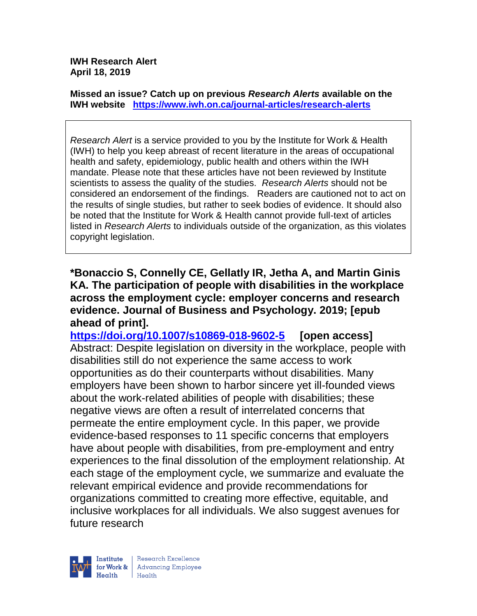**IWH Research Alert April 18, 2019**

**Missed an issue? Catch up on previous** *Research Alerts* **available on the [IWH website](http://www.iwh.on.ca/research-alerts) <https://www.iwh.on.ca/journal-articles/research-alerts>**

*Research Alert* is a service provided to you by the Institute for Work & Health (IWH) to help you keep abreast of recent literature in the areas of occupational health and safety, epidemiology, public health and others within the IWH mandate. Please note that these articles have not been reviewed by Institute scientists to assess the quality of the studies. *Research Alerts* should not be considered an endorsement of the findings. Readers are cautioned not to act on the results of single studies, but rather to seek bodies of evidence. It should also be noted that the Institute for Work & Health cannot provide full-text of articles listed in *Research Alerts* to individuals outside of the organization, as this violates copyright legislation.

**\*Bonaccio S, Connelly CE, Gellatly IR, Jetha A, and Martin Ginis KA. The participation of people with disabilities in the workplace across the employment cycle: employer concerns and research evidence. Journal of Business and Psychology. 2019; [epub ahead of print].**

**<https://doi.org/10.1007/s10869-018-9602-5> [open access]** Abstract: Despite legislation on diversity in the workplace, people with disabilities still do not experience the same access to work opportunities as do their counterparts without disabilities. Many employers have been shown to harbor sincere yet ill-founded views about the work-related abilities of people with disabilities; these negative views are often a result of interrelated concerns that permeate the entire employment cycle. In this paper, we provide evidence-based responses to 11 specific concerns that employers have about people with disabilities, from pre-employment and entry experiences to the final dissolution of the employment relationship. At each stage of the employment cycle, we summarize and evaluate the relevant empirical evidence and provide recommendations for organizations committed to creating more effective, equitable, and inclusive workplaces for all individuals. We also suggest avenues for future research

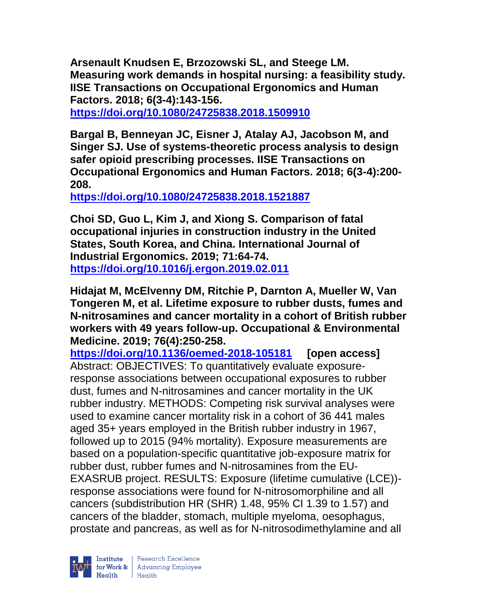**Arsenault Knudsen E, Brzozowski SL, and Steege LM. Measuring work demands in hospital nursing: a feasibility study. IISE Transactions on Occupational Ergonomics and Human Factors. 2018; 6(3-4):143-156.** 

**<https://doi.org/10.1080/24725838.2018.1509910>** 

**Bargal B, Benneyan JC, Eisner J, Atalay AJ, Jacobson M, and Singer SJ. Use of systems-theoretic process analysis to design safer opioid prescribing processes. IISE Transactions on Occupational Ergonomics and Human Factors. 2018; 6(3-4):200- 208.** 

**<https://doi.org/10.1080/24725838.2018.1521887>** 

**Choi SD, Guo L, Kim J, and Xiong S. Comparison of fatal occupational injuries in construction industry in the United States, South Korea, and China. International Journal of Industrial Ergonomics. 2019; 71:64-74. <https://doi.org/10.1016/j.ergon.2019.02.011>** 

**Hidajat M, McElvenny DM, Ritchie P, Darnton A, Mueller W, Van Tongeren M, et al. Lifetime exposure to rubber dusts, fumes and N-nitrosamines and cancer mortality in a cohort of British rubber workers with 49 years follow-up. Occupational & Environmental Medicine. 2019; 76(4):250-258.** 

**<https://doi.org/10.1136/oemed-2018-105181> [open access]** Abstract: OBJECTIVES: To quantitatively evaluate exposureresponse associations between occupational exposures to rubber dust, fumes and N-nitrosamines and cancer mortality in the UK rubber industry. METHODS: Competing risk survival analyses were used to examine cancer mortality risk in a cohort of 36 441 males aged 35+ years employed in the British rubber industry in 1967, followed up to 2015 (94% mortality). Exposure measurements are based on a population-specific quantitative job-exposure matrix for rubber dust, rubber fumes and N-nitrosamines from the EU-EXASRUB project. RESULTS: Exposure (lifetime cumulative (LCE)) response associations were found for N-nitrosomorphiline and all cancers (subdistribution HR (SHR) 1.48, 95% CI 1.39 to 1.57) and cancers of the bladder, stomach, multiple myeloma, oesophagus, prostate and pancreas, as well as for N-nitrosodimethylamine and all

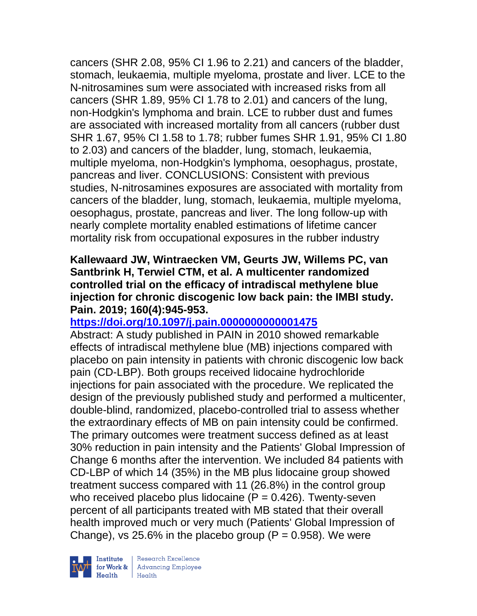cancers (SHR 2.08, 95% CI 1.96 to 2.21) and cancers of the bladder, stomach, leukaemia, multiple myeloma, prostate and liver. LCE to the N-nitrosamines sum were associated with increased risks from all cancers (SHR 1.89, 95% CI 1.78 to 2.01) and cancers of the lung, non-Hodgkin's lymphoma and brain. LCE to rubber dust and fumes are associated with increased mortality from all cancers (rubber dust SHR 1.67, 95% CI 1.58 to 1.78; rubber fumes SHR 1.91, 95% CI 1.80 to 2.03) and cancers of the bladder, lung, stomach, leukaemia, multiple myeloma, non-Hodgkin's lymphoma, oesophagus, prostate, pancreas and liver. CONCLUSIONS: Consistent with previous studies, N-nitrosamines exposures are associated with mortality from cancers of the bladder, lung, stomach, leukaemia, multiple myeloma, oesophagus, prostate, pancreas and liver. The long follow-up with nearly complete mortality enabled estimations of lifetime cancer mortality risk from occupational exposures in the rubber industry

### **Kallewaard JW, Wintraecken VM, Geurts JW, Willems PC, van Santbrink H, Terwiel CTM, et al. A multicenter randomized controlled trial on the efficacy of intradiscal methylene blue injection for chronic discogenic low back pain: the IMBI study. Pain. 2019; 160(4):945-953.**

# **<https://doi.org/10.1097/j.pain.0000000000001475>**

Abstract: A study published in PAIN in 2010 showed remarkable effects of intradiscal methylene blue (MB) injections compared with placebo on pain intensity in patients with chronic discogenic low back pain (CD-LBP). Both groups received lidocaine hydrochloride injections for pain associated with the procedure. We replicated the design of the previously published study and performed a multicenter, double-blind, randomized, placebo-controlled trial to assess whether the extraordinary effects of MB on pain intensity could be confirmed. The primary outcomes were treatment success defined as at least 30% reduction in pain intensity and the Patients' Global Impression of Change 6 months after the intervention. We included 84 patients with CD-LBP of which 14 (35%) in the MB plus lidocaine group showed treatment success compared with 11 (26.8%) in the control group who received placebo plus lidocaine  $(P = 0.426)$ . Twenty-seven percent of all participants treated with MB stated that their overall health improved much or very much (Patients' Global Impression of Change), vs 25.6% in the placebo group ( $P = 0.958$ ). We were



| Research Excellence for Work & | Advancing Employee  $Heath$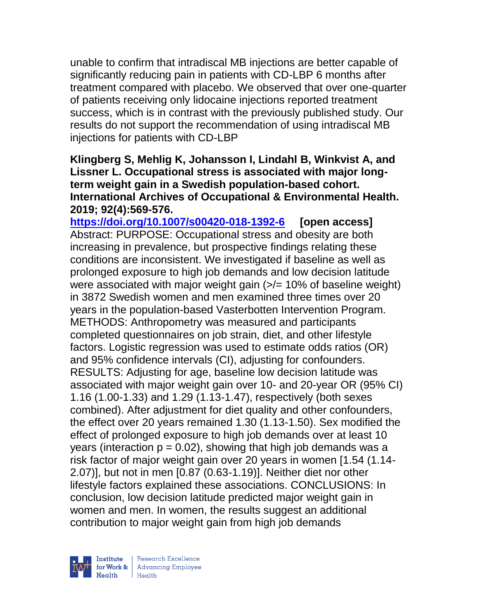unable to confirm that intradiscal MB injections are better capable of significantly reducing pain in patients with CD-LBP 6 months after treatment compared with placebo. We observed that over one-quarter of patients receiving only lidocaine injections reported treatment success, which is in contrast with the previously published study. Our results do not support the recommendation of using intradiscal MB injections for patients with CD-LBP

#### **Klingberg S, Mehlig K, Johansson I, Lindahl B, Winkvist A, and Lissner L. Occupational stress is associated with major longterm weight gain in a Swedish population-based cohort. International Archives of Occupational & Environmental Health. 2019; 92(4):569-576.**

**<https://doi.org/10.1007/s00420-018-1392-6> [open access]** Abstract: PURPOSE: Occupational stress and obesity are both increasing in prevalence, but prospective findings relating these conditions are inconsistent. We investigated if baseline as well as prolonged exposure to high job demands and low decision latitude were associated with major weight gain  $\left\langle \frac{1}{2} \right\rangle = 10\%$  of baseline weight) in 3872 Swedish women and men examined three times over 20 years in the population-based Vasterbotten Intervention Program. METHODS: Anthropometry was measured and participants completed questionnaires on job strain, diet, and other lifestyle factors. Logistic regression was used to estimate odds ratios (OR) and 95% confidence intervals (CI), adjusting for confounders. RESULTS: Adjusting for age, baseline low decision latitude was associated with major weight gain over 10- and 20-year OR (95% CI) 1.16 (1.00-1.33) and 1.29 (1.13-1.47), respectively (both sexes combined). After adjustment for diet quality and other confounders, the effect over 20 years remained 1.30 (1.13-1.50). Sex modified the effect of prolonged exposure to high job demands over at least 10 years (interaction  $p = 0.02$ ), showing that high job demands was a risk factor of major weight gain over 20 years in women [1.54 (1.14- 2.07)], but not in men [0.87 (0.63-1.19)]. Neither diet nor other lifestyle factors explained these associations. CONCLUSIONS: In conclusion, low decision latitude predicted major weight gain in women and men. In women, the results suggest an additional contribution to major weight gain from high job demands



| Research Excellence for Work & Advancing Employee<br>Health Health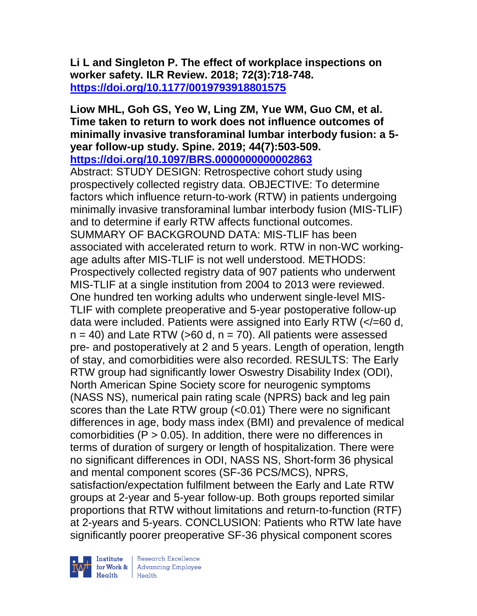# **Li L and Singleton P. The effect of workplace inspections on worker safety. ILR Review. 2018; 72(3):718-748. <https://doi.org/10.1177/0019793918801575>**

#### **Liow MHL, Goh GS, Yeo W, Ling ZM, Yue WM, Guo CM, et al. Time taken to return to work does not influence outcomes of minimally invasive transforaminal lumbar interbody fusion: a 5 year follow-up study. Spine. 2019; 44(7):503-509. <https://doi.org/10.1097/BRS.0000000000002863>**

Abstract: STUDY DESIGN: Retrospective cohort study using prospectively collected registry data. OBJECTIVE: To determine factors which influence return-to-work (RTW) in patients undergoing minimally invasive transforaminal lumbar interbody fusion (MIS-TLIF) and to determine if early RTW affects functional outcomes. SUMMARY OF BACKGROUND DATA: MIS-TLIF has been associated with accelerated return to work. RTW in non-WC workingage adults after MIS-TLIF is not well understood. METHODS: Prospectively collected registry data of 907 patients who underwent MIS-TLIF at a single institution from 2004 to 2013 were reviewed. One hundred ten working adults who underwent single-level MIS-TLIF with complete preoperative and 5-year postoperative follow-up data were included. Patients were assigned into Early RTW (</=60 d,  $n = 40$ ) and Late RTW (>60 d,  $n = 70$ ). All patients were assessed pre- and postoperatively at 2 and 5 years. Length of operation, length of stay, and comorbidities were also recorded. RESULTS: The Early RTW group had significantly lower Oswestry Disability Index (ODI), North American Spine Society score for neurogenic symptoms (NASS NS), numerical pain rating scale (NPRS) back and leg pain scores than the Late RTW group (<0.01) There were no significant differences in age, body mass index (BMI) and prevalence of medical comorbidities ( $P > 0.05$ ). In addition, there were no differences in terms of duration of surgery or length of hospitalization. There were no significant differences in ODI, NASS NS, Short-form 36 physical and mental component scores (SF-36 PCS/MCS), NPRS, satisfaction/expectation fulfilment between the Early and Late RTW groups at 2-year and 5-year follow-up. Both groups reported similar proportions that RTW without limitations and return-to-function (RTF) at 2-years and 5-years. CONCLUSION: Patients who RTW late have significantly poorer preoperative SF-36 physical component scores

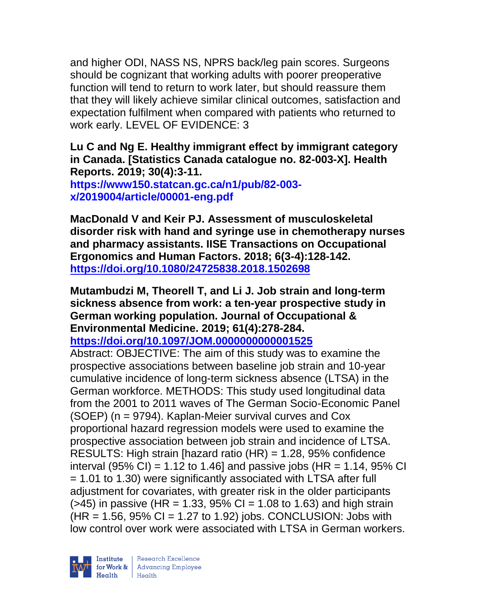and higher ODI, NASS NS, NPRS back/leg pain scores. Surgeons should be cognizant that working adults with poorer preoperative function will tend to return to work later, but should reassure them that they will likely achieve similar clinical outcomes, satisfaction and expectation fulfilment when compared with patients who returned to work early. LEVEL OF EVIDENCE: 3

### **Lu C and Ng E. Healthy immigrant effect by immigrant category in Canada. [Statistics Canada catalogue no. 82-003-X]. Health Reports. 2019; 30(4):3-11.**

**[https://www150.statcan.gc.ca/n1/pub/82-003](https://www150.statcan.gc.ca/n1/pub/82-003-x/2019004/article/00001-eng.pdf) [x/2019004/article/00001-eng.pdf](https://www150.statcan.gc.ca/n1/pub/82-003-x/2019004/article/00001-eng.pdf)**

**MacDonald V and Keir PJ. Assessment of musculoskeletal disorder risk with hand and syringe use in chemotherapy nurses and pharmacy assistants. IISE Transactions on Occupational Ergonomics and Human Factors. 2018; 6(3-4):128-142. <https://doi.org/10.1080/24725838.2018.1502698>** 

**Mutambudzi M, Theorell T, and Li J. Job strain and long-term sickness absence from work: a ten-year prospective study in German working population. Journal of Occupational & Environmental Medicine. 2019; 61(4):278-284.** 

**<https://doi.org/10.1097/JOM.0000000000001525>** 

Abstract: OBJECTIVE: The aim of this study was to examine the prospective associations between baseline job strain and 10-year cumulative incidence of long-term sickness absence (LTSA) in the German workforce. METHODS: This study used longitudinal data from the 2001 to 2011 waves of The German Socio-Economic Panel (SOEP) (n = 9794). Kaplan-Meier survival curves and Cox proportional hazard regression models were used to examine the prospective association between job strain and incidence of LTSA. RESULTS: High strain [hazard ratio (HR) = 1.28, 95% confidence interval (95% CI) = 1.12 to 1.46] and passive jobs (HR = 1.14, 95% CI) = 1.01 to 1.30) were significantly associated with LTSA after full adjustment for covariates, with greater risk in the older participants  $($ >45) in passive (HR = 1.33, 95% CI = 1.08 to 1.63) and high strain  $(HR = 1.56, 95\% \text{ CI} = 1.27 \text{ to } 1.92)$  jobs. CONCLUSION: Jobs with low control over work were associated with LTSA in German workers.

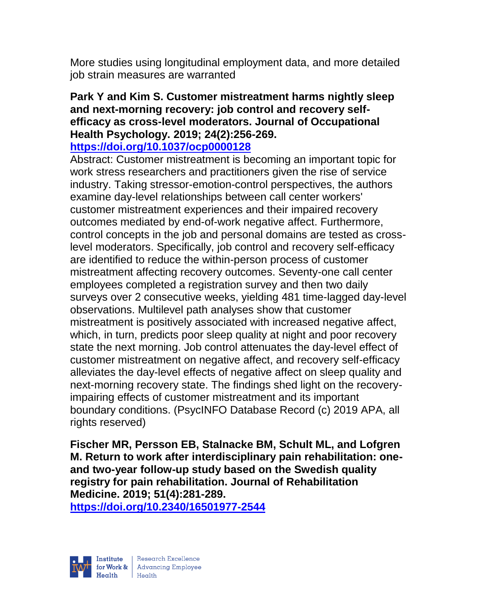More studies using longitudinal employment data, and more detailed job strain measures are warranted

# **Park Y and Kim S. Customer mistreatment harms nightly sleep and next-morning recovery: job control and recovery selfefficacy as cross-level moderators. Journal of Occupational Health Psychology. 2019; 24(2):256-269.**

### **<https://doi.org/10.1037/ocp0000128>**

Abstract: Customer mistreatment is becoming an important topic for work stress researchers and practitioners given the rise of service industry. Taking stressor-emotion-control perspectives, the authors examine day-level relationships between call center workers' customer mistreatment experiences and their impaired recovery outcomes mediated by end-of-work negative affect. Furthermore, control concepts in the job and personal domains are tested as crosslevel moderators. Specifically, job control and recovery self-efficacy are identified to reduce the within-person process of customer mistreatment affecting recovery outcomes. Seventy-one call center employees completed a registration survey and then two daily surveys over 2 consecutive weeks, yielding 481 time-lagged day-level observations. Multilevel path analyses show that customer mistreatment is positively associated with increased negative affect, which, in turn, predicts poor sleep quality at night and poor recovery state the next morning. Job control attenuates the day-level effect of customer mistreatment on negative affect, and recovery self-efficacy alleviates the day-level effects of negative affect on sleep quality and next-morning recovery state. The findings shed light on the recoveryimpairing effects of customer mistreatment and its important boundary conditions. (PsycINFO Database Record (c) 2019 APA, all rights reserved)

**Fischer MR, Persson EB, Stalnacke BM, Schult ML, and Lofgren M. Return to work after interdisciplinary pain rehabilitation: oneand two-year follow-up study based on the Swedish quality registry for pain rehabilitation. Journal of Rehabilitation Medicine. 2019; 51(4):281-289.** 

**<https://doi.org/10.2340/16501977-2544>** 

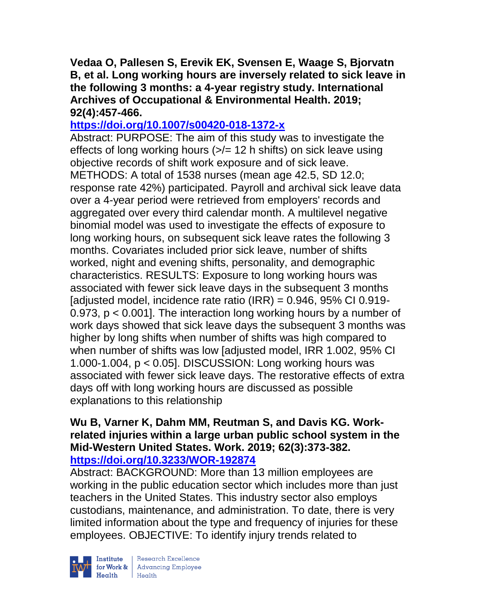**Vedaa O, Pallesen S, Erevik EK, Svensen E, Waage S, Bjorvatn B, et al. Long working hours are inversely related to sick leave in the following 3 months: a 4-year registry study. International Archives of Occupational & Environmental Health. 2019; 92(4):457-466.** 

# **<https://doi.org/10.1007/s00420-018-1372-x>**

Abstract: PURPOSE: The aim of this study was to investigate the effects of long working hours  $\left( \frac{5}{6} \right)$  = 12 h shifts) on sick leave using objective records of shift work exposure and of sick leave. METHODS: A total of 1538 nurses (mean age 42.5, SD 12.0; response rate 42%) participated. Payroll and archival sick leave data over a 4-year period were retrieved from employers' records and aggregated over every third calendar month. A multilevel negative binomial model was used to investigate the effects of exposure to long working hours, on subsequent sick leave rates the following 3 months. Covariates included prior sick leave, number of shifts worked, night and evening shifts, personality, and demographic characteristics. RESULTS: Exposure to long working hours was associated with fewer sick leave days in the subsequent 3 months [adjusted model, incidence rate ratio (IRR) =  $0.946$ ,  $95\%$  CI 0.919-0.973, p < 0.001]. The interaction long working hours by a number of work days showed that sick leave days the subsequent 3 months was higher by long shifts when number of shifts was high compared to when number of shifts was low [adjusted model, IRR 1.002, 95% CI 1.000-1.004, p < 0.05]. DISCUSSION: Long working hours was associated with fewer sick leave days. The restorative effects of extra days off with long working hours are discussed as possible explanations to this relationship

#### **Wu B, Varner K, Dahm MM, Reutman S, and Davis KG. Workrelated injuries within a large urban public school system in the Mid-Western United States. Work. 2019; 62(3):373-382. <https://doi.org/10.3233/WOR-192874>**

Abstract: BACKGROUND: More than 13 million employees are working in the public education sector which includes more than just teachers in the United States. This industry sector also employs custodians, maintenance, and administration. To date, there is very limited information about the type and frequency of injuries for these employees. OBJECTIVE: To identify injury trends related to



Institute Research Excellence<br>
for Work & Advancing Employee<br>
Health Health